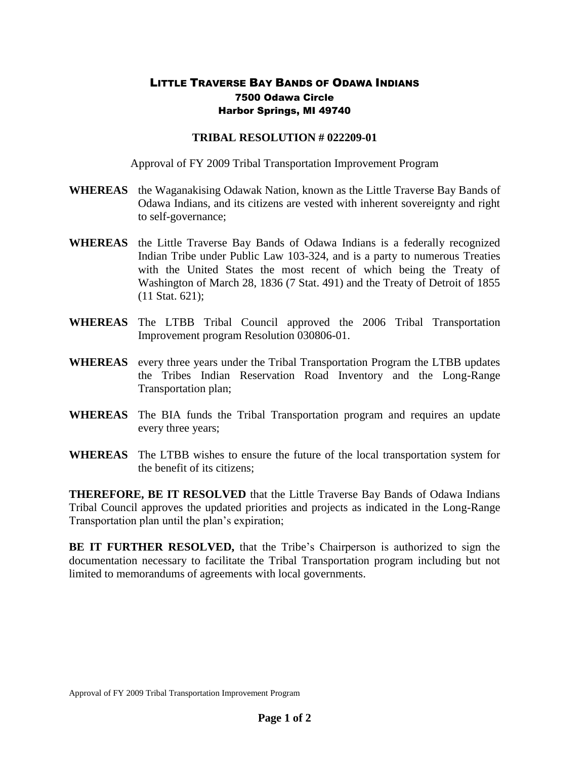## LITTLE TRAVERSE BAY BANDS OF ODAWA INDIANS 7500 Odawa Circle Harbor Springs, MI 49740

## **TRIBAL RESOLUTION # 022209-01**

Approval of FY 2009 Tribal Transportation Improvement Program

- **WHEREAS** the Waganakising Odawak Nation, known as the Little Traverse Bay Bands of Odawa Indians, and its citizens are vested with inherent sovereignty and right to self-governance;
- **WHEREAS** the Little Traverse Bay Bands of Odawa Indians is a federally recognized Indian Tribe under Public Law 103-324, and is a party to numerous Treaties with the United States the most recent of which being the Treaty of Washington of March 28, 1836 (7 Stat. 491) and the Treaty of Detroit of 1855 (11 Stat. 621);
- **WHEREAS** The LTBB Tribal Council approved the 2006 Tribal Transportation Improvement program Resolution 030806-01.
- **WHEREAS** every three years under the Tribal Transportation Program the LTBB updates the Tribes Indian Reservation Road Inventory and the Long-Range Transportation plan;
- **WHEREAS** The BIA funds the Tribal Transportation program and requires an update every three years;
- **WHEREAS** The LTBB wishes to ensure the future of the local transportation system for the benefit of its citizens;

**THEREFORE, BE IT RESOLVED** that the Little Traverse Bay Bands of Odawa Indians Tribal Council approves the updated priorities and projects as indicated in the Long-Range Transportation plan until the plan's expiration;

**BE IT FURTHER RESOLVED,** that the Tribe's Chairperson is authorized to sign the documentation necessary to facilitate the Tribal Transportation program including but not limited to memorandums of agreements with local governments.